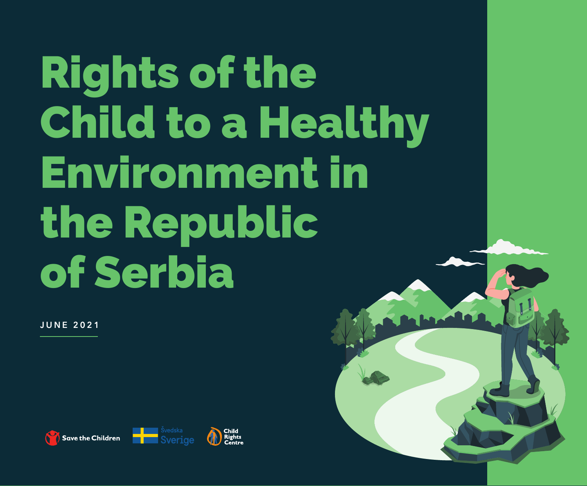# Rights of the Child to a Healthy Environment in the Republic of Serbia

june 2021

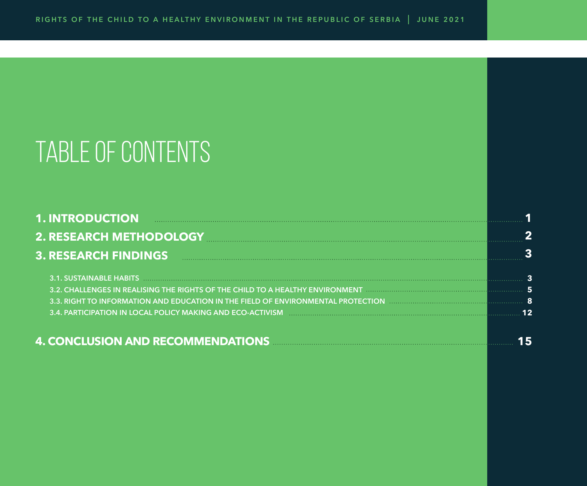# TABLE OF CONTENTS

| 1. INTRODUCTION DELL'EXECUTION DELL'ESSE EN ESSEVERE ELECCIONE ELECCIONE ELECCIONE ELECCIONE ELECCIONE ELECCION                                                                                                                      |  |
|--------------------------------------------------------------------------------------------------------------------------------------------------------------------------------------------------------------------------------------|--|
| 2. RESEARCH METHODOLOGY MARRIET AND THE RESEARCH METHODOLOGY                                                                                                                                                                         |  |
| 3. RESEARCH FINDINGS <b>And Elizabeth Contract Contract Contract Contract Contract Contract Contract Contract Contract Contract Contract Contract Contract Contract Contract Contract Contract Contract Contract Contract Contra</b> |  |
|                                                                                                                                                                                                                                      |  |
| 3.2. CHALLENGES IN REALISING THE RIGHTS OF THE CHILD TO A HEALTHY ENVIRONMENT <b>And the community of the contract o</b>                                                                                                             |  |
| 3.3. RIGHT TO INFORMATION AND EDUCATION IN THE FIELD OF ENVIRONMENTAL PROTECTION And an experimental measurement of 8                                                                                                                |  |
| 3.4. PARTICIPATION IN LOCAL POLICY MAKING AND ECO-ACTIVISM DECORRELLE CONTROLLER CONTROLLER DESCRIPTION IN LOCAL POLICY MAKING AND ECO-ACTIVISM DECORDED ACCORDINATION CONTROLLER CONTROLLER CONTROLLER CONTROLLER CONTROLLER        |  |
| 4. CONCLUSION AND RECOMMENDATIONS MARKETING AND RECOMMENDATIONS                                                                                                                                                                      |  |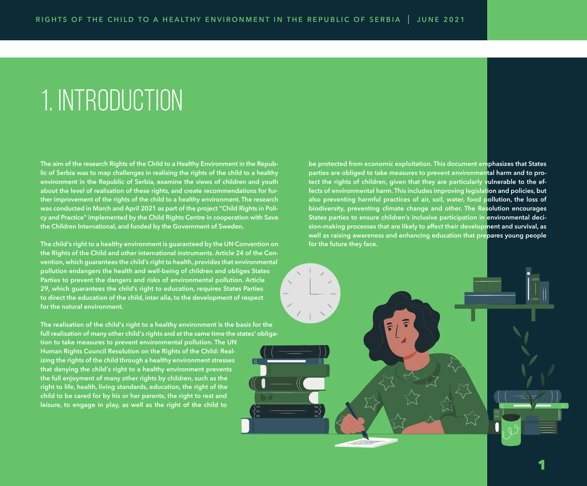### 1. INTRODUCTION

**The aim of the research Rights of the Child to a Healthy Environment in the Republic of Serbia was to map challenges in realising the rights of the child to a healthy environment in the Republic of Serbia, examine the views of children and youth about the level of realisation of these rights, and create recommendations for further improvement of the rights of the child to a healthy environment. The research was conducted in March and April 2021 as part of the project "Child Rights in Policy and Practice" implemented by the Child Rights Centre in cooperation with Save the Children International, and funded by the Government of Sweden.**

**The child's right to a healthy environment is guaranteed by the UN Convention on the Rights of the Child and other international instruments. Article 24 of the Convention, which guarantees the child's right to health, provides that environmental pollution endangers the health and well-being of children and obliges States Parties to prevent the dangers and risks of environmental pollution. Article 29, which guarantees the child's right to education, requires States Parties to direct the education of the child, inter alia, to the development of respect for the natural environment.** 

**The realisation of the child's right to a healthy environment is the basis for the full realisation of many other child's rights and at the same time the states' obligation to take measures to prevent environmental pollution. The UN Human Rights Council Resolution on the Rights of the Child: Realizing the rights of the child through a healthy environment stresses that denying the child's right to a healthy environment prevents the full enjoyment of many other rights by children, such as the right to life, health, living standards, education, the right of the child to be cared for by his or her parents, the right to rest and leisure, to engage in play, as well as the right of the child to** 

**be protected from economic exploitation. This document emphasizes that States parties are obliged to take measures to prevent environmental harm and to protect the rights of children, given that they are particularly vulnerable to the effects of environmental harm. This includes improving legislation and policies, but also preventing harmful practices of air, soil, water, food pollution, the loss of biodiversity, preventing climate change and other. The Resolution encourages States parties to ensure children's inclusive participation in environmental decision-making processes that are likely to affect their development and survival, as well as raising awareness and enhancing education that prepares young people for the future they face.**

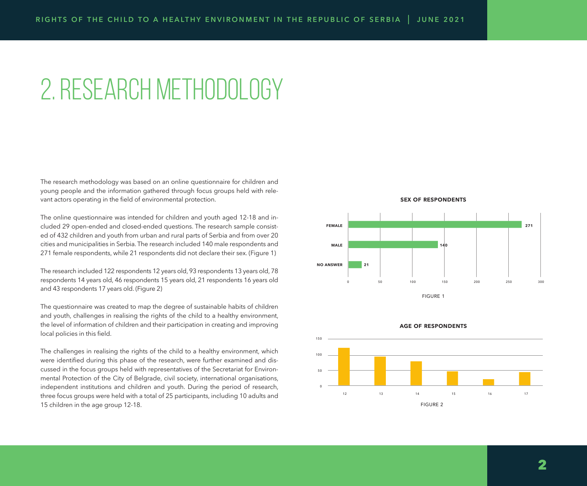### 2. RESEARCH METHODOLOGY

The research methodology was based on an online questionnaire for children and young people and the information gathered through focus groups held with relevant actors operating in the field of environmental protection.

The online questionnaire was intended for children and youth aged 12-18 and included 29 open-ended and closed-ended questions. The research sample consisted of 432 children and youth from urban and rural parts of Serbia and from over 20 cities and municipalities in Serbia. The research included 140 male respondents and 271 female respondents, while 21 respondents did not declare their sex. (Figure 1)

The research included 122 respondents 12 years old, 93 respondents 13 years old, 78 respondents 14 years old, 46 respondents 15 years old, 21 respondents 16 years old and 43 respondents 17 years old. (Figure 2)

The questionnaire was created to map the degree of sustainable habits of children and youth, challenges in realising the rights of the child to a healthy environment, the level of information of children and their participation in creating and improving local policies in this field.

The challenges in realising the rights of the child to a healthy environment, which were identified during this phase of the research, were further examined and discussed in the focus groups held with representatives of the Secretariat for Environmental Protection of the City of Belgrade, civil society, international organisations, independent institutions and children and youth. During the period of research, three focus groups were held with a total of 25 participants, including 10 adults and 15 children in the age group 12-18.







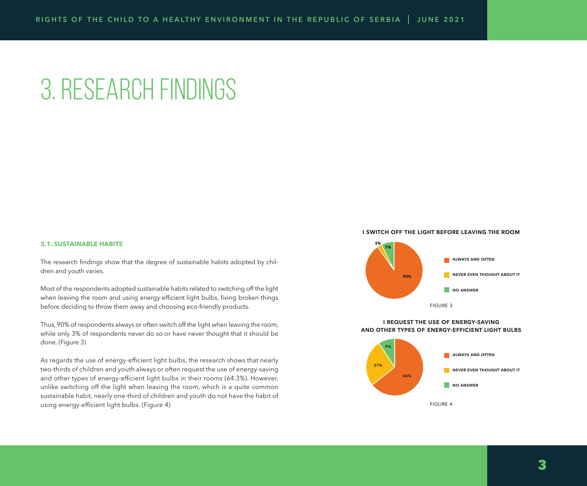# 3. RESEARCH FINDINGS

#### **3.1. SUSTAINABLE HABITS**

The research findings show that the degree of sustainable habits adopted by children and youth varies.

Most of the respondents adopted sustainable habits related to switching off the light when leaving the room and using energy-efficient light bulbs, fixing broken things before deciding to throw them away and choosing eco-friendly products.

Thus, 90% of respondents always or often switch off the light when leaving the room, while only 3% of respondents never do so or have never thought that it should be done. (Figure 3)

As regards the use of energy-efficient light bulbs, the research shows that nearly two-thirds of children and youth always or often request the use of energy-saving and other types of energy-efficient light bulbs in their rooms (64.3%). However, unlike switching off the light when leaving the room, which is a quite common sustainable habit, nearly one-third of children and youth do not have the habit of using energy-efficient light bulbs. (Figure 4)

#### **i switch off the light before leaving the room**



#### **i request the use of energy-saving and other types of energy-efficient light bulbs**

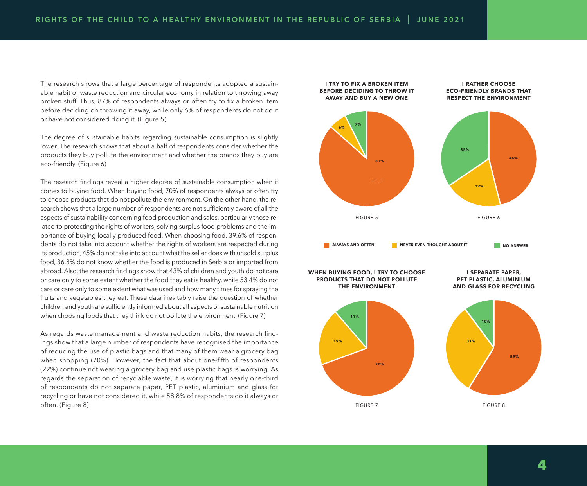The research shows that a large percentage of respondents adopted a sustainable habit of waste reduction and circular economy in relation to throwing away broken stuff. Thus, 87% of respondents always or often try to fix a broken item before deciding on throwing it away, while only 6% of respondents do not do it or have not considered doing it. (Figure 5)

The degree of sustainable habits regarding sustainable consumption is slightly lower. The research shows that about a half of respondents consider whether the products they buy pollute the environment and whether the brands they buy are eco-friendly. (Figure 6)

The research findings reveal a higher degree of sustainable consumption when it comes to buying food. When buying food, 70% of respondents always or often try to choose products that do not pollute the environment. On the other hand, the research shows that a large number of respondents are not sufficiently aware of all the aspects of sustainability concerning food production and sales, particularly those related to protecting the rights of workers, solving surplus food problems and the importance of buying locally produced food. When choosing food, 39.6% of respondents do not take into account whether the rights of workers are respected during its production, 45% do not take into account what the seller does with unsold surplus food, 36.8% do not know whether the food is produced in Serbia or imported from abroad. Also, the research findings show that 43% of children and youth do not care or care only to some extent whether the food they eat is healthy, while 53.4% do not care or care only to some extent what was used and how many times for spraying the fruits and vegetables they eat. These data inevitably raise the question of whether children and youth are sufficiently informed about all aspects of sustainable nutrition when choosing foods that they think do not pollute the environment. (Figure 7)

As regards waste management and waste reduction habits, the research findings show that a large number of respondents have recognised the importance of reducing the use of plastic bags and that many of them wear a grocery bag when shopping (70%). However, the fact that about one-fifth of respondents (22%) continue not wearing a grocery bag and use plastic bags is worrying. As regards the separation of recyclable waste, it is worrying that nearly one-third of respondents do not separate paper, PET plastic, aluminium and glass for recycling or have not considered it, while 58.8% of respondents do it always or often. (Figure 8)

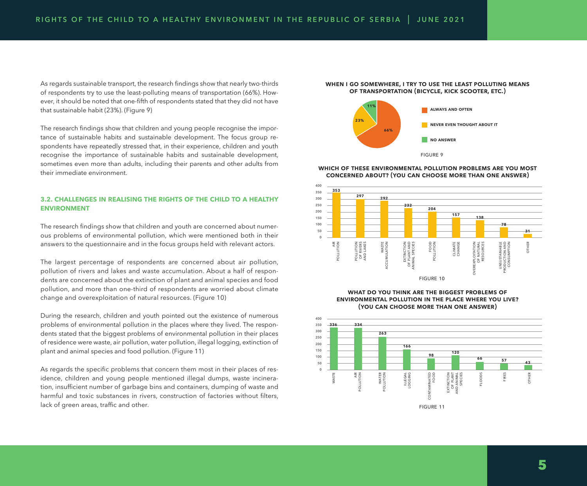As regards sustainable transport, the research findings show that nearly two-thirds of respondents try to use the least-polluting means of transportation (66%). However, it should be noted that one-fifth of respondents stated that they did not have that sustainable habit (23%). (Figure 9)

The research findings show that children and young people recognise the importance of sustainable habits and sustainable development. The focus group respondents have repeatedly stressed that, in their experience, children and youth recognise the importance of sustainable habits and sustainable development, sometimes even more than adults, including their parents and other adults from their immediate environment.

#### **3.2. CHALLENGES IN REALISING THE RIGHTS OF THE CHILD TO A HEALTHY ENVIRONMENT**

The research findings show that children and youth are concerned about numerous problems of environmental pollution, which were mentioned both in their answers to the questionnaire and in the focus groups held with relevant actors.

The largest percentage of respondents are concerned about air pollution, pollution of rivers and lakes and waste accumulation. About a half of respondents are concerned about the extinction of plant and animal species and food pollution, and more than one-third of respondents are worried about climate change and overexploitation of natural resources. (Figure 10)

During the research, children and youth pointed out the existence of numerous problems of environmental pollution in the places where they lived. The respondents stated that the biggest problems of environmental pollution in their places of residence were waste, air pollution, water pollution, illegal logging, extinction of plant and animal species and food pollution. (Figure 11)

As regards the specific problems that concern them most in their places of residence, children and young people mentioned illegal dumps, waste incineration, insufficient number of garbage bins and containers, dumping of waste and harmful and toxic substances in rivers, construction of factories without filters, lack of green areas, traffic and other.

#### **when i go somewhere, i try to use the least polluting means of transportation (bicycle, kick scooter, etc.)**



**which of these environmental pollution problems are you most concerned about? (you can choose more than one answer)**



**what do you think are the biggest problems of environmental pollution in the place where you live? (you can choose more than one answer)**

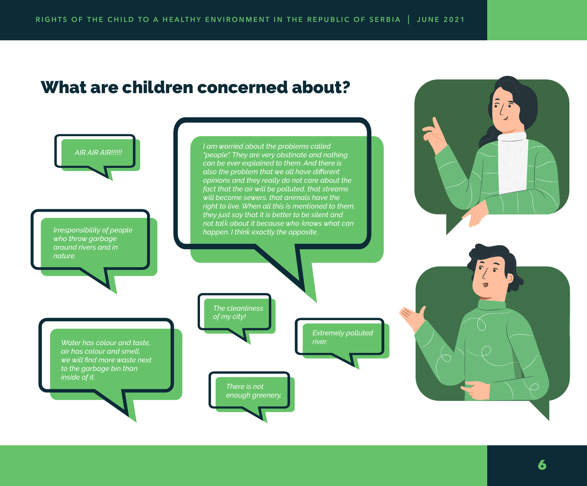### What are children concerned about?

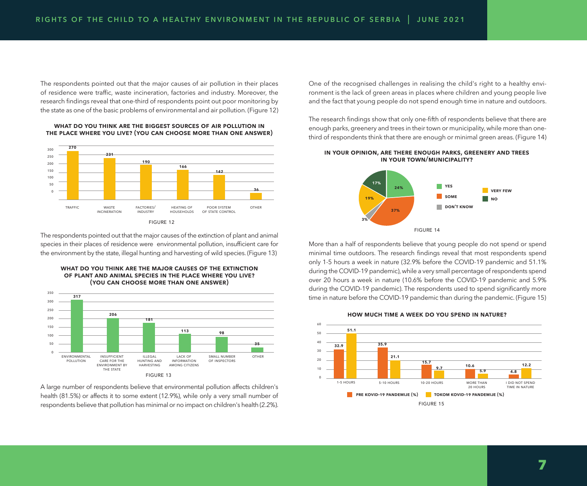The respondents pointed out that the major causes of air pollution in their places of residence were traffic, waste incineration, factories and industry. Moreover, the research findings reveal that one-third of respondents point out poor monitoring by the state as one of the basic problems of environmental and air pollution. (Figure 12)



**what do you think are the biggest sources of air pollution in the place where you live? (you can choose more than one answer)**

The respondents pointed out that the major causes of the extinction of plant and animal species in their places of residence were environmental pollution, insufficient care for the environment by the state, illegal hunting and harvesting of wild species. (Figure 13)

**what do you think are the major causes of the extinction of plant and animal species in the place where you live? (you can choose more than one answer)**



figure 13

A large number of respondents believe that environmental pollution affects children's health (81.5%) or affects it to some extent (12.9%), while only a very small number of respondents believe that pollution has minimal or no impact on children's health (2.2%). One of the recognised challenges in realising the child's right to a healthy environment is the lack of green areas in places where children and young people live and the fact that young people do not spend enough time in nature and outdoors.

The research findings show that only one-fifth of respondents believe that there are enough parks, greenery and trees in their town or municipality, while more than onethird of respondents think that there are enough or minimal green areas. (Figure 14)





More than a half of respondents believe that young people do not spend or spend minimal time outdoors. The research findings reveal that most respondents spend only 1-5 hours a week in nature (32.9% before the COVID-19 pandemic and 51.1% during the COVID-19 pandemic), while a very small percentage of respondents spend over 20 hours a week in nature (10.6% before the COVID-19 pandemic and 5.9% during the COVID-19 pandemic). The respondents used to spend significantly more time in nature before the COVID-19 pandemic than during the pandemic. (Figure 15)



**how much time a week do you spend in nature?**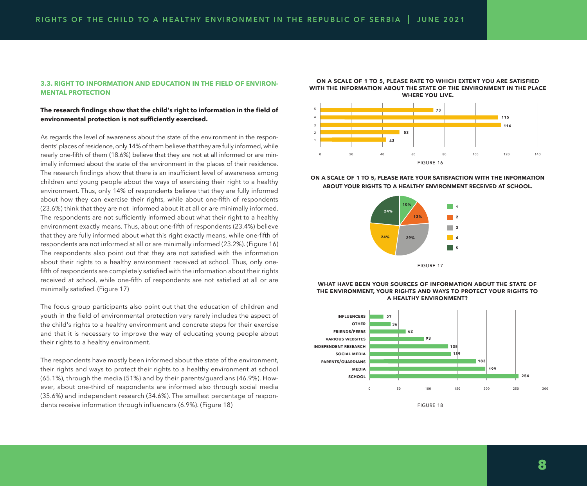#### **3.3. RIGHT TO INFORMATION AND EDUCATION IN THE FIELD OF ENVIRON-MENTAL PROTECTION**

#### **The research findings show that the child's right to information in the field of environmental protection is not sufficiently exercised.**

As regards the level of awareness about the state of the environment in the respondents' places of residence, only 14% of them believe that they are fully informed, while nearly one-fifth of them (18.6%) believe that they are not at all informed or are minimally informed about the state of the environment in the places of their residence. The research findings show that there is an insufficient level of awareness among children and young people about the ways of exercising their right to a healthy environment. Thus, only 14% of respondents believe that they are fully informed about how they can exercise their rights, while about one-fifth of respondents (23.6%) think that they are not informed about it at all or are minimally informed. The respondents are not sufficiently informed about what their right to a healthy environment exactly means. Thus, about one-fifth of respondents (23.4%) believe that they are fully informed about what this right exactly means, while one-fifth of respondents are not informed at all or are minimally informed (23.2%). (Figure 16) The respondents also point out that they are not satisfied with the information about their rights to a healthy environment received at school. Thus, only onefifth of respondents are completely satisfied with the information about their rights received at school, while one-fifth of respondents are not satisfied at all or are minimally satisfied. (Figure 17)

The focus group participants also point out that the education of children and youth in the field of environmental protection very rarely includes the aspect of the child's rights to a healthy environment and concrete steps for their exercise and that it is necessary to improve the way of educating young people about their rights to a healthy environment.

The respondents have mostly been informed about the state of the environment, their rights and ways to protect their rights to a healthy environment at school (65.1%), through the media (51%) and by their parents/guardians (46.9%). However, about one-third of respondents are informed also through social media (35.6%) and independent research (34.6%). The smallest percentage of respondents receive information through influencers (6.9%). (Figure 18)

**on a scale of 1 to 5, please rate to which extent you are satisfied with the information about the state of the environment in the place where you live.** 



**on a scale of 1 to 5, please rate your satisfaction with the information about your rights to a healthy environment received at school.**



#### **what have been your sources of information about the state of the environment, your rights and ways to protect your rights to a healthy environment?**



figure 18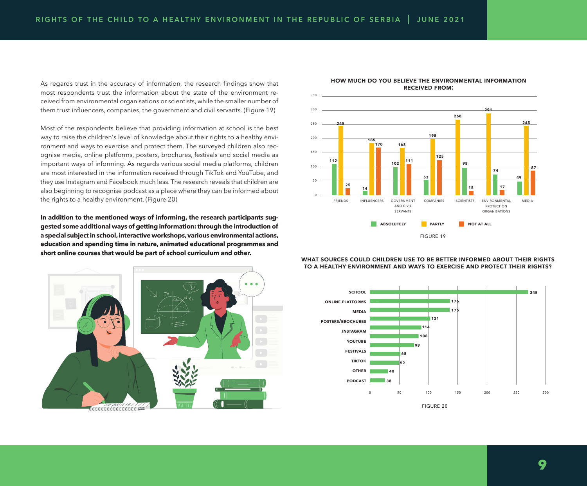As regards trust in the accuracy of information, the research findings show that most respondents trust the information about the state of the environment received from environmental organisations or scientists, while the smaller number of them trust influencers, companies, the government and civil servants. (Figure 19)

Most of the respondents believe that providing information at school is the best way to raise the children's level of knowledge about their rights to a healthy environment and ways to exercise and protect them. The surveyed children also recognise media, online platforms, posters, brochures, festivals and social media as important ways of informing. As regards various social media platforms, children are most interested in the information received through TikTok and YouTube, and they use Instagram and Facebook much less. The research reveals that children are also beginning to recognise podcast as a place where they can be informed about the rights to a healthy environment. (Figure 20)

**In addition to the mentioned ways of informing, the research participants suggested some additional ways of getting information: through the introduction of a special subject in school, interactive workshops, various environmental actions, education and spending time in nature, animated educational programmes and short online courses that would be part of school curriculum and other.**





#### **how much do you believe the environmental information received from:**

**what sources could children use to be better informed about their rights to a healthy environment and ways to exercise and protect their rights?**



**9**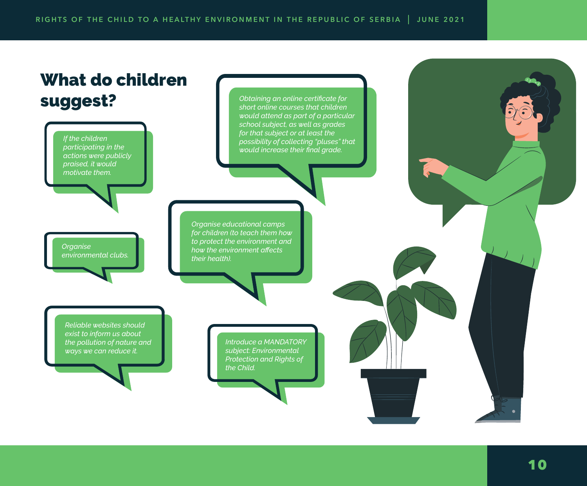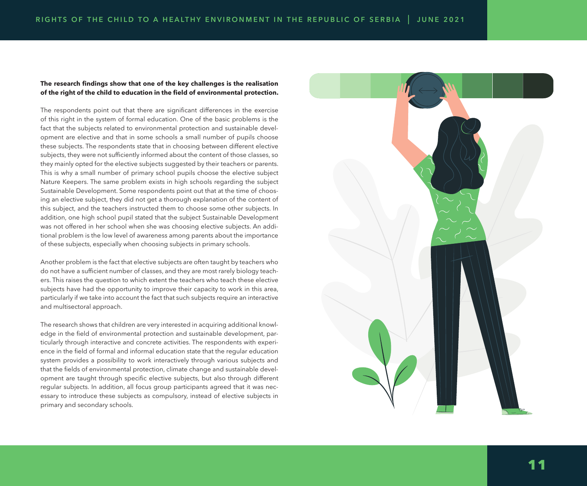#### **The research findings show that one of the key challenges is the realisation of the right of the child to education in the field of environmental protection.**

The respondents point out that there are significant differences in the exercise of this right in the system of formal education. One of the basic problems is the fact that the subjects related to environmental protection and sustainable devel opment are elective and that in some schools a small number of pupils choose these subjects. The respondents state that in choosing between different elective subjects, they were not sufficiently informed about the content of those classes, so they mainly opted for the elective subjects suggested by their teachers or parents. This is why a small number of primary school pupils choose the elective subject Nature Keepers. The same problem exists in high schools regarding the subject Sustainable Development. Some respondents point out that at the time of choos ing an elective subject, they did not get a thorough explanation of the content of this subject, and the teachers instructed them to choose some other subjects. In addition, one high school pupil stated that the subject Sustainable Development was not offered in her school when she was choosing elective subjects. An addi tional problem is the low level of awareness among parents about the importance of these subjects, especially when choosing subjects in primary schools.

Another problem is the fact that elective subjects are often taught by teachers who do not have a sufficient number of classes, and they are most rarely biology teach ers. This raises the question to which extent the teachers who teach these elective subjects have had the opportunity to improve their capacity to work in this area, particularly if we take into account the fact that such subjects require an interactive and multisectoral approach.

The research shows that children are very interested in acquiring additional knowl edge in the field of environmental protection and sustainable development, par ticularly through interactive and concrete activities. The respondents with experi ence in the field of formal and informal education state that the regular education system provides a possibility to work interactively through various subjects and that the fields of environmental protection, climate change and sustainable devel opment are taught through specific elective subjects, but also through different regular subjects. In addition, all focus group participants agreed that it was nec essary to introduce these subjects as compulsory, instead of elective subjects in primary and secondary schools.

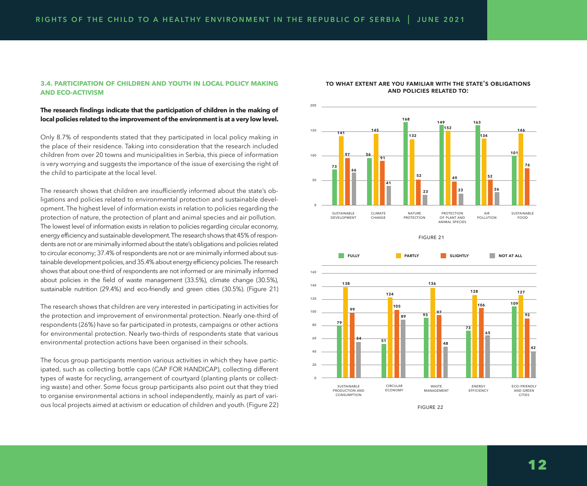#### **3.4. PARTICIPATION OF CHILDREN AND YOUTH IN LOCAL POLICY MAKING AND ECO-ACTIVISM**

#### **The research findings indicate that the participation of children in the making of local policies related to the improvement of the environment is at a very low level.**

Only 8.7% of respondents stated that they participated in local policy making in the place of their residence. Taking into consideration that the research included children from over 20 towns and municipalities in Serbia, this piece of information is very worrying and suggests the importance of the issue of exercising the right of the child to participate at the local level.

The research shows that children are insufficiently informed about the state's obligations and policies related to environmental protection and sustainable development. The highest level of information exists in relation to policies regarding the protection of nature, the protection of plant and animal species and air pollution. The lowest level of information exists in relation to policies regarding circular economy, energy efficiency and sustainable development. The research shows that 45% of respondents are not or are minimally informed about the state's obligations and policies related to circular economy; 37.4% of respondents are not or are minimally informed about sustainable development policies, and 35.4% about energy efficiency policies. The research shows that about one-third of respondents are not informed or are minimally informed about policies in the field of waste management (33.5%), climate change (30.5%), sustainable nutrition (29.4%) and eco-friendly and green cities (30.5%). (Figure 21)

The research shows that children are very interested in participating in activities for the protection and improvement of environmental protection. Nearly one-third of respondents (26%) have so far participated in protests, campaigns or other actions for environmental protection. Nearly two-thirds of respondents state that various environmental protection actions have been organised in their schools.

The focus group participants mention various activities in which they have participated, such as collecting bottle caps (CAP FOR HANDICAP), collecting different types of waste for recycling, arrangement of courtyard (planting plants or collecting waste) and other. Some focus group participants also point out that they tried to organise environmental actions in school independently, mainly as part of various local projects aimed at activism or education of children and youth. (Figure 22)



#### **to what extent are you familiar with the state's obligations and policies related to:**





figure 22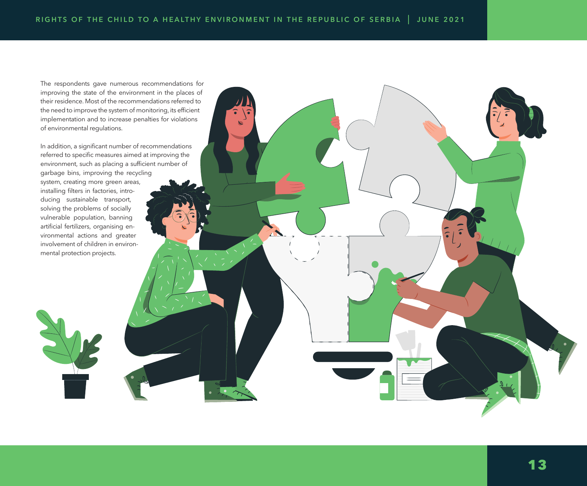$\mathbf{r}$ 

The respondents gave numerous recommendations for improving the state of the environment in the places of their residence. Most of the recommendations referred to the need to improve the system of monitoring, its efficient implementation and to increase penalties for violations of environmental regulations.

In addition, a significant number of recommendations referred to specific measures aimed at improving the environment, such as placing a sufficient number of

garbage bins, improving the recycling system, creating more green areas, installing filters in factories, introducing sustainable transport, solving the problems of socially vulnerable population, banning artificial fertilizers, organising environmental actions and greater involvement of children in environmental protection projects.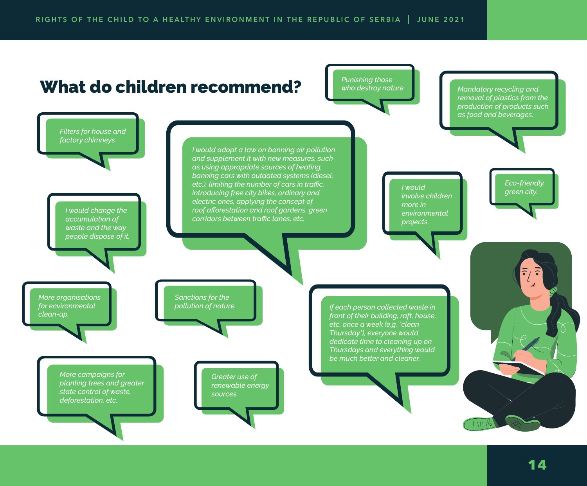### What do children recommend?

*Punishing those who destroy nature.*

*Mandatory recycling and removal of plastics from the production of products such as food and beverages.*

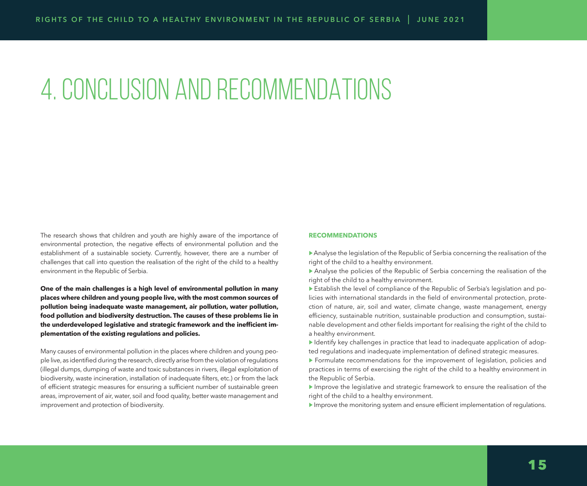# 4. CONCLUSION AND RECOMMENDATIONS

The research shows that children and youth are highly aware of the importance of environmental protection, the negative effects of environmental pollution and the establishment of a sustainable society. Currently, however, there are a number of challenges that call into question the realisation of the right of the child to a healthy environment in the Republic of Serbia.

**One of the main challenges is a high level of environmental pollution in many places where children and young people live, with the most common sources of pollution being inadequate waste management, air pollution, water pollution, food pollution and biodiversity destruction. The causes of these problems lie in the underdeveloped legislative and strategic framework and the inefficient implementation of the existing regulations and policies.** 

Many causes of environmental pollution in the places where children and young people live, as identified during the research, directly arise from the violation of regulations (illegal dumps, dumping of waste and toxic substances in rivers, illegal exploitation of biodiversity, waste incineration, installation of inadequate filters, etc.) or from the lack of efficient strategic measures for ensuring a sufficient number of sustainable green areas, improvement of air, water, soil and food quality, better waste management and improvement and protection of biodiversity.

#### **RECOMMENDATIONS**

 $\triangleright$  Analyse the legislation of the Republic of Serbia concerning the realisation of the right of the child to a healthy environment.

▶ Analyse the policies of the Republic of Serbia concerning the realisation of the right of the child to a healthy environment.

▶ Establish the level of compliance of the Republic of Serbia's legislation and policies with international standards in the field of environmental protection, protection of nature, air, soil and water, climate change, waste management, energy efficiency, sustainable nutrition, sustainable production and consumption, sustainable development and other fields important for realising the right of the child to a healthy environment.

▶ Identify key challenges in practice that lead to inadequate application of adopted regulations and inadequate implementation of defined strategic measures.

▶ Formulate recommendations for the improvement of legislation, policies and practices in terms of exercising the right of the child to a healthy environment in the Republic of Serbia.

▶ Improve the legislative and strategic framework to ensure the realisation of the right of the child to a healthy environment.

▶ Improve the monitoring system and ensure efficient implementation of regulations.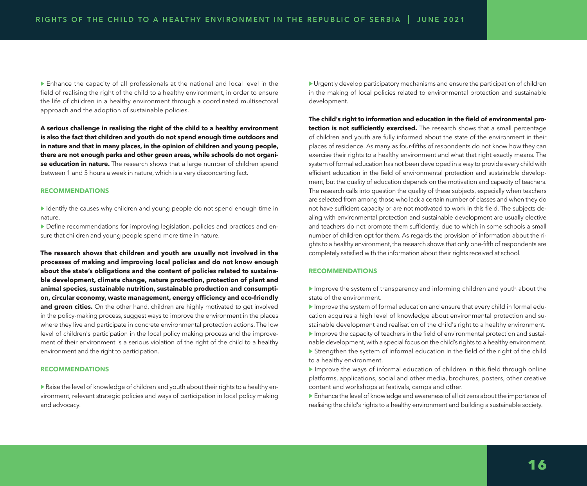▶ Enhance the capacity of all professionals at the national and local level in the field of realising the right of the child to a healthy environment, in order to ensure the life of children in a healthy environment through a coordinated multisectoral approach and the adoption of sustainable policies.

**A serious challenge in realising the right of the child to a healthy environment is also the fact that children and youth do not spend enough time outdoors and in nature and that in many places, in the opinion of children and young people, there are not enough parks and other green areas, while schools do not organise education in nature.** The research shows that a large number of children spend between 1 and 5 hours a week in nature, which is a very disconcerting fact.

#### **RECOMMENDATIONS**

▶ Identify the causes why children and young people do not spend enough time in nature.

▶ Define recommendations for improving legislation, policies and practices and ensure that children and young people spend more time in nature.

**The research shows that children and youth are usually not involved in the processes of making and improving local policies and do not know enough about the state's obligations and the content of policies related to sustainable development, climate change, nature protection, protection of plant and animal species, sustainable nutrition, sustainable production and consumption, circular economy, waste management, energy efficiency and eco-friendly**  and green cities. On the other hand, children are highly motivated to get involved in the policy-making process, suggest ways to improve the environment in the places where they live and participate in concrete environmental protection actions. The low level of children's participation in the local policy making process and the improvement of their environment is a serious violation of the right of the child to a healthy environment and the right to participation.

#### **RECOMMENDATIONS**

▶ Raise the level of knowledge of children and youth about their rights to a healthy environment, relevant strategic policies and ways of participation in local policy making and advocacy.

▶ Urgently develop participatory mechanisms and ensure the participation of children in the making of local policies related to environmental protection and sustainable development.

**The child's right to information and education in the field of environmental protection is not sufficiently exercised.** The research shows that a small percentage of children and youth are fully informed about the state of the environment in their places of residence. As many as four-fifths of respondents do not know how they can exercise their rights to a healthy environment and what that right exactly means. The system of formal education has not been developed in a way to provide every child with efficient education in the field of environmental protection and sustainable development, but the quality of education depends on the motivation and capacity of teachers. The research calls into question the quality of these subjects, especially when teachers are selected from among those who lack a certain number of classes and when they do not have sufficient capacity or are not motivated to work in this field. The subjects dealing with environmental protection and sustainable development are usually elective and teachers do not promote them sufficiently, due to which in some schools a small number of children opt for them. As regards the provision of information about the rights to a healthy environment, the research shows that only one-fifth of respondents are completely satisfied with the information about their rights received at school.

#### **RECOMMENDATIONS**

▶ Improve the system of transparency and informing children and youth about the state of the environment.

▶ Improve the system of formal education and ensure that every child in formal education acquires a high level of knowledge about environmental protection and sustainable development and realisation of the child's right to a healthy environment. ▶ Improve the capacity of teachers in the field of environmental protection and sustainable development, with a special focus on the child's rights to a healthy environment. ▶ Strengthen the system of informal education in the field of the right of the child to a healthy environment.

- ▶ Improve the ways of informal education of children in this field through online platforms, applications, social and other media, brochures, posters, other creative content and workshops at festivals, camps and other.
- ▶ Enhance the level of knowledge and awareness of all citizens about the importance of realising the child's rights to a healthy environment and building a sustainable society.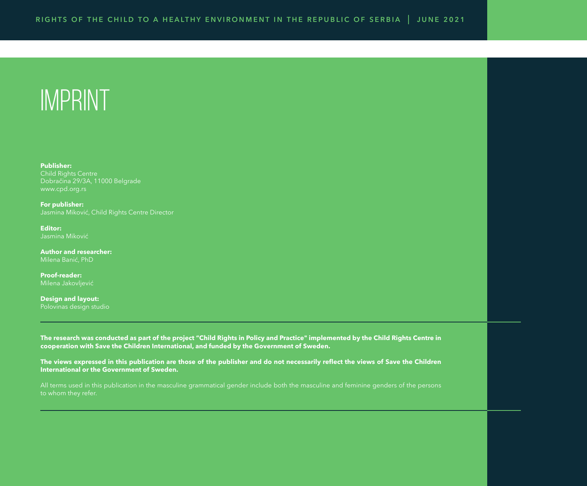# IMPRINT

**Publisher:** Child Rights Centre Dobračina 29/3A, 11000 Belgrade [www.cpd.org.rs](http://www.cpd.org.rs  ) 

**For publisher:**  Jasmina Miković, Child Rights Centre Director

**Editor:** Jasmina Miković

**Author and researcher:**  Milena Banić, PhD

**Proof-reader:**

**Design and layout:**  Polovinas design studio

**The research was conducted as part of the project "Child Rights in Policy and Practice" implemented by the Child Rights Centre in cooperation with Save the Children International, and funded by the Government of Sweden.** 

**The views expressed in this publication are those of the publisher and do not necessarily reflect the views of Save the Children International or the Government of Sweden.** 

All terms used in this publication in the masculine grammatical gender include both the masculine and feminine genders of the persons